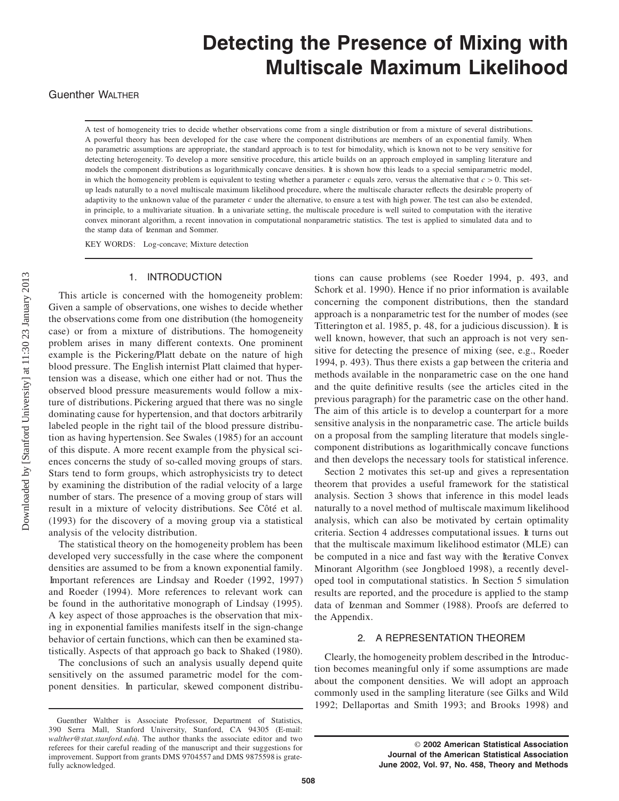# **Detecting the Presence of Mixing with Multiscale Maximum Likelihood**

## **Guenther WALTHER**

A test of homogeneity tries to decide whether observations come from a single distribution or from a mixture of several distributions. A powerful theory has been developed for the case where the component distributions are members of an exponential family. When no parametric assumptions are appropriate, the standard approach is to test for bimodality, which is known not to be very sensitive for detecting heterogeneity. To develop a more sensitive procedure, this article builds on an approach employed in sampling literature and models the component distributions as logarithmically concave densities. It is shown how this leads to a special semiparametric model, in which the homogeneity problem is equivalent to testing whether a parameter *c* equals zero, versus the alternative that *c >* 0. This setup leads naturally to a novel multiscale maximum likelihood procedure, where the multiscale character reflects the desirable property of adaptivity to the unknown value of the parameter *c* under the alternative, to ensure a test with high power. The test can also be extended, in principle, to a multivariate situation. In a univariate setting, the multiscale procedure is well suited to computation with the iterative convex minorant algorithm, a recent innovation in computational nonparametric statistics. The test is applied to simulated data and to the stamp data of Izenman and Sommer.

KEY WORDS: Log-concave; Mixture detection

## 1. INTRODUCTION

This article is concerned with the homogeneity problem: Given a sample of observations, one wishes to decide whether the observations come from one distribution (the homogeneity case) or from a mixture of distributions. The homogeneity problem arises in many different contexts. One prominent example is the Pickering/Platt debate on the nature of high blood pressure. The English internist Platt claimed that hypertension was a disease, which one either had or not. Thus the observed blood pressure measurements would follow a mixture of distributions. Pickering argued that there was no single dominating cause for hypertension, and that doctors arbitrarily labeled people in the right tail of the blood pressure distribution as having hypertension. See Swales (1985) for an account of this dispute. A more recent example from the physical sciences concerns the study of so-called moving groups of stars. Stars tend to form groups, which astrophysicists try to detect by examining the distribution of the radial velocity of a large number of stars. The presence of a moving group of stars will result in a mixture of velocity distributions. See Côté et al. (1993) for the discovery of a moving group via a statistical analysis of the velocity distribution.

The statistical theory on the homogeneity problem has been developed very successfully in the case where the component densities are assumed to be from a known exponential family. Important references are Lindsay and Roeder (1992, 1997) and Roeder (1994). More references to relevant work can be found in the authoritative monograph of Lindsay (1995). A key aspect of those approaches is the observation that mixing in exponential families manifests itself in the sign-change behavior of certain functions, which can then be examined statistically. Aspects of that approach go back to Shaked (1980).

The conclusions of such an analysis usually depend quite sensitively on the assumed parametric model for the component densities. In particular, skewed component distribu-

tions can cause problems (see Roeder 1994, p. 493, and Schork et al. 1990). Hence if no prior information is available concerning the component distributions, then the standard approach is a nonparametric test for the number of modes (see Titterington et al. 1985, p. 48, for a judicious discussion). It is well known, however, that such an approach is not very sensitive for detecting the presence of mixing (see, e.g., Roeder 1994, p. 493). Thus there exists a gap between the criteria and methods available in the nonparametric case on the one hand and the quite definitive results (see the articles cited in the previous paragraph) for the parametric case on the other hand. The aim of this article is to develop a counterpart for a more sensitive analysis in the nonparametric case. The article builds on a proposal from the sampling literature that models singlecomponent distributions as logarithmically concave functions and then develops the necessary tools for statistical inference.

Section 2 motivates this set-up and gives a representation theorem that provides a useful framework for the statistical analysis. Section 3 shows that inference in this model leads naturally to a novel method of multiscale maximum likelihood analysis, which can also be motivated by certain optimality criteria. Section 4 addresses computational issues. It turns out that the multiscale maximum likelihood estimator (MLE) can be computed in a nice and fast way with the Iterative Convex Minorant Algorithm (see Jongbloed 1998), a recently developed tool in computational statistics. In Section 5 simulation results are reported, and the procedure is applied to the stamp data of Izenman and Sommer (1988). Proofs are deferred to the Appendix.

## 2. A REPRESENTATION THEOREM

Clearly, the homogeneity problem described in the Introduction becomes meaningful only if some assumptions are made about the component densities. We will adopt an approach commonly used in the sampling literature (see Gilks and Wild 1992; Dellaportas and Smith 1993; and Brooks 1998) and

Guenther Walther is Associate Professor, Department of Statistics, 390 Serra Mall, Stanford University, Stanford, CA 94305 (E-mail: *walther@stat.stanford.edu*). The author thanks the associate editor and two referees for their careful reading of the manuscript and their suggestions for improvement. Support from grants DMS 9704557 and DMS 9875598 is gratefully acknowledged.

<sup>©</sup> **2002 American Statistical Association Journal of the American Statistical Association June 2002, Vol. 97, No. 458, Theory and Methods**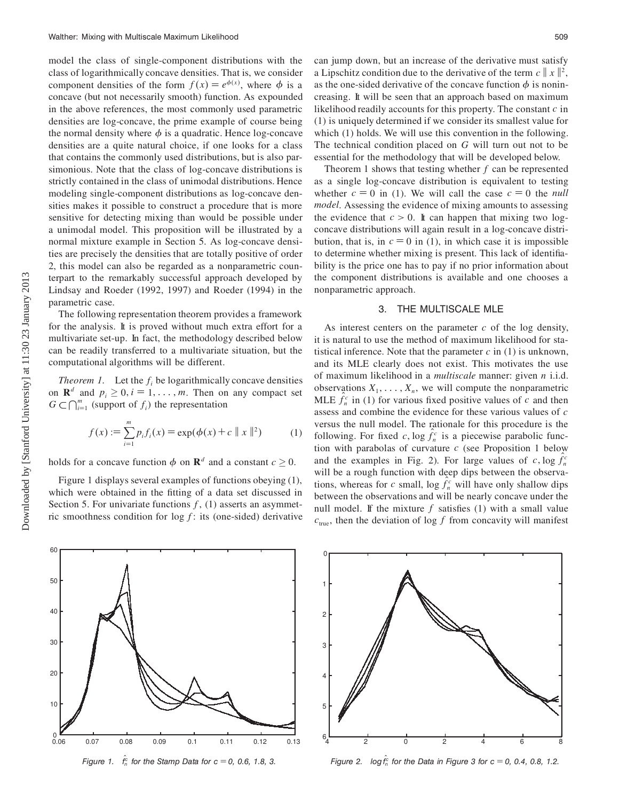model the class of single-component distributions with the class of logarithmically concave densities. That is, we consider component densities of the form  $f(x) = e^{\phi(x)}$ , where  $\phi$  is a concave (but not necessarily smooth) function. As expounded in the above references, the most commonly used parametric densities are log-concave, the prime example of course being the normal density where  $\phi$  is a quadratic. Hence log-concave densities are a quite natural choice, if one looks for a class that contains the commonly used distributions, but is also parsimonious. Note that the class of log-concave distributions is strictly contained in the class of unimodal distributions. Hence modeling single-component distributions as log-concave densities makes it possible to construct a procedure that is more sensitive for detecting mixing than would be possible under a unimodal model. This proposition will be illustrated by a normal mixture example in Section 5. As log-concave densities are precisely the densities that are totally positive of order 2, this model can also be regarded as a nonparametric counterpart to the remarkably successful approach developed by Lindsay and Roeder (1992, 1997) and Roeder (1994) in the parametric case.

The following representation theorem provides a framework for the analysis. It is proved without much extra effort for a multivariate set-up. In fact, the methodology described below can be readily transferred to a multivariate situation, but the computational algorithms will be different.

*Theorem 1.* Let the  $f_i$  be logarithmically concave densities on  $\mathbf{R}^d$  and  $p_i \geq 0, i = 1, \ldots, m$ . Then on any compact set  $G \subset \bigcap_{i=1}^m$  (support of  $f_i$ ) the representation

$$
f(x) := \sum_{i=1}^{m} p_i f_i(x) = \exp(\phi(x) + c \|x\|^2)
$$
 (1)

holds for a concave function  $\phi$  on  $\mathbf{R}^d$  and a constant  $c \geq 0$ .

Figure 1 displays several examples of functions obeying (1), which were obtained in the fitting of a data set discussed in Section 5. For univariate functions  $f$ , (1) asserts an asymmetric smoothness condition for  $\log f$ : its (one-sided) derivative can jump down, but an increase of the derivative must satisfy a Lipschitz condition due to the derivative of the term  $c \parallel x \parallel^2$ , as the one-sided derivative of the concave function  $\phi$  is nonincreasing. It will be seen that an approach based on maximum likelihood readily accounts for this property. The constant *c* in (1) is uniquely determined if we consider its smallest value for which (1) holds. We will use this convention in the following. The technical condition placed on *G* will turn out not to be essential for the methodology that will be developed below.

Theorem 1 shows that testing whether *f* can be represented as a single log-concave distribution is equivalent to testing whether  $c = 0$  in (1). We will call the case  $c = 0$  the *null model*. Assessing the evidence of mixing amounts to assessing the evidence that  $c > 0$ . It can happen that mixing two logconcave distributions will again result in a log-concave distribution, that is, in  $c = 0$  in (1), in which case it is impossible to determine whether mixing is present. This lack of identiability is the price one has to pay if no prior information about the component distributions is available and one chooses a nonparametric approach.

## 3. THE MULTISCALE MLE

As interest centers on the parameter *c* of the log density, it is natural to use the method of maximum likelihood for statistical inference. Note that the parameter  $c$  in  $(1)$  is unknown, and its MLE clearly does not exist. This motivates the use of maximum likelihood in a *multiscale* manner: given *n* i.i.d. observations  $X_1, \ldots, X_n$ , we will compute the nonparametric MLE  $f_n^c$  in (1) for various fixed positive values of *c* and then assess and combine the evidence for these various values of *c* versus the null model. The rationale for this procedure is the following. For fixed *c*,  $\log f_n^c$  is a piecewise parabolic function with parabolas of curvature *c* (see Proposition 1 below and the examples in Fig. 2). For large values of  $c, \log f_n^c$ will be a rough function with deep dips between the observations, whereas for *c* small,  $\log f_n^c$  will have only shallow dips between the observations and will be nearly concave under the null model. If the mixture  $f$  satisfies (1) with a small value  $c<sub>true</sub>$ , then the deviation of log *f* from concavity will manifest



*Figure 1.*  $f_n^c$  for the Stamp Data for  $c = 0$ , 0.6, 1.8, 3.



*Figure 2.*  $log f_n^c$  for the Data in Figure 3 for  $c = 0, 0.4, 0.8, 1.2$ .

 $0.06$ 

10

20

30

40

50

60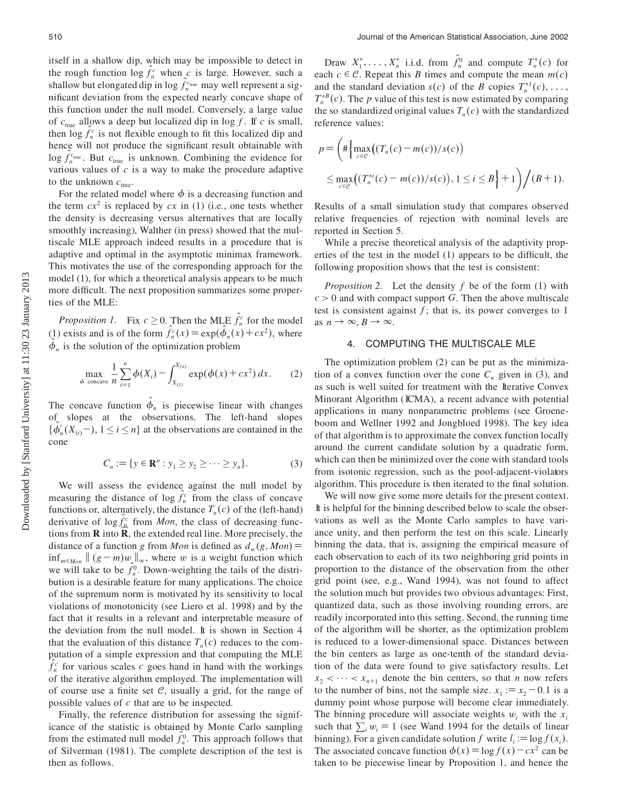itself in a shallow dip, which may be impossible to detect in the rough function  $\log f_n^c$  when *c* is large. However, such a shallow but elongated dip in  $\log f_n^{\text{true}}$  may well represent a significant deviation from the expected nearly concave shape of this function under the null model. Conversely, a large value of  $c_{\text{true}}$  allows a deep but localized dip in log f. If c is small, then  $\log f_n^c$  is not flexible enough to fit this localized dip and hence will not produce the significant result obtainable with  $\log f_n^{c_{\text{true}}}$ . But  $c_{\text{true}}$  is unknown. Combining the evidence for various values of *c* is a way to make the procedure adaptive to the unknown  $c_{true}$ .

For the related model where  $\phi$  is a decreasing function and the term  $cx^2$  is replaced by  $cx$  in (1) (i.e., one tests whether the density is decreasing versus alternatives that are locally smoothly increasing), Walther (in press) showed that the multiscale MLE approach indeed results in a procedure that is adaptive and optimal in the asymptotic minimax framework. This motivates the use of the corresponding approach for the model (1), for which a theoretical analysis appears to be much more difficult. The next proposition summarizes some properties of the MLE:

*Proposition 1.* Fix  $c \ge 0$ . Then the MLE  $f_n^c$  for the model (1) exists and is of the form  $f_n^c(x) = \exp(\phi_n(x) + cx^2)$ , where  $\phi_n$  is the solution of the optimization problem

$$
\max_{\phi \text{ concave}} \frac{1}{n} \sum_{i=1}^{n} \phi(X_i) - \int_{X_{(1)}}^{X_{(n)}} \exp(\phi(x) + cx^2) dx. \tag{2}
$$

The concave function  $\phi_n$  is piecewise linear with changes of slopes at the observations. The left-hand slopes  $\{\phi'_n(X_{(i)}-), 1 \le i \le n\}$  at the observations are contained in the cone

$$
C_n := \{ y \in \mathbf{R}^n : y_1 \ge y_2 \ge \dots \ge y_n \}. \tag{3}
$$

We will assess the evidence against the null model by measuring the distance of  $\log f_n^c$  from the class of concave functions or, alternatively, the distance  $T_n(c)$  of the (left-hand) derivative of  $\log f_n^c$  from *Mon*, the class of decreasing functions from  $\bf{R}$  into  $\bf{R}$ , the extended real line. More precisely, the distance of a function *g* from *Mon* is defined as  $d_w(g, Mon) =$  $\inf_{m \in \mathcal{M}_{on}} || (g - m) w_{\lambda} ||_{\infty}$ , where *w* is a weight function which we will take to be  $f_n^0$ . Down-weighting the tails of the distribution is a desirable feature for many applications. The choice of the supremum norm is motivated by its sensitivity to local violations of monotonicity (see Liero et al. 1998) and by the fact that it results in a relevant and interpretable measure of the deviation from the null model. It is shown in Section 4 that the evaluation of this distance  $T_n(c)$  reduces to the computation of a simple expression and that computing the MLE  $f_n^c$  for various scales *c* goes hand in hand with the workings of the iterative algorithm employed. The implementation will of course use a finite set  $\mathcal{C}$ , usually a grid, for the range of possible values of *c* that are to be inspected.

Finally, the reference distribution for assessing the significance of the statistic is obtained by Monte Carlo sampling from the estimated null model  $f_n^0$ . This approach follows that of Silverman (1981). The complete description of the test is then as follows.

Draw  $X_1^*, \ldots, X_n^*$  i.i.d. from  $f_n^0$  and compute  $T_n^*(c)$  for each  $c \in \mathcal{C}$ . Repeat this *B* times and compute the mean  $m(c)$ and the standard deviation *s(c)* of the *B* copies  $T_n^{*1}(c), \ldots$ ,  $T_n^{*B}(c)$ . The *p* value of this test is now estimated by comparing the so standardized original values  $T_n(c)$  with the standardized reference values:

$$
p = \left( \#\Big\{ \max_{c \in \mathcal{C}} \big( (T_n(c) - m(c))/s(c) \big) \right\}
$$
  
 
$$
\leq \max_{c \in \mathcal{C}} \big( (T_n^{*i}(c) - m(c))/s(c) \big), 1 \leq i \leq B \Big\} + 1 \right) / (B + 1).
$$

Results of a small simulation study that compares observed relative frequencies of rejection with nominal levels are reported in Section 5.

While a precise theoretical analysis of the adaptivity properties of the test in the model  $(1)$  appears to be difficult, the following proposition shows that the test is consistent:

*Proposition 2.* Let the density *f* be of the form (1) with  $c > 0$  and with compact support *G*. Then the above multiscale test is consistent against  $f$ ; that is, its power converges to 1 as  $n \to \infty$ ,  $B \to \infty$ .

## 4. COMPUTING THE MULTISCALE MLE

The optimization problem (2) can be put as the minimization of a convex function over the cone  $C_n$  given in (3), and as such is well suited for treatment with the Iterative Convex Minorant Algorithm ( ICMA), a recent advance with potential applications in many nonparametric problems (see Groeneboom and Wellner 1992 and Jongbloed 1998). The key idea of that algorithm is to approximate the convex function locally around the current candidate solution by a quadratic form, which can then be minimized over the cone with standard tools from isotonic regression, such as the pool-adjacent-violators algorithm. This procedure is then iterated to the final solution.

We will now give some more details for the present context. It is helpful for the binning described below to scale the observations as well as the Monte Carlo samples to have variance unity, and then perform the test on this scale. Linearly binning the data, that is, assigning the empirical measure of each observation to each of its two neighboring grid points in proportion to the distance of the observation from the other grid point (see, e.g., Wand 1994), was not found to affect the solution much but provides two obvious advantages: First, quantized data, such as those involving rounding errors, are readily incorporated into this setting. Second, the running time of the algorithm will be shorter, as the optimization problem is reduced to a lower-dimensional space. Distances between the bin centers as large as one-tenth of the standard deviation of the data were found to give satisfactory results. Let  $x_2$  <  $\cdots$  <  $x_{n+1}$  denote the bin centers, so that *n* now refers to the number of bins, not the sample size.  $x_1 := x_2 - 0.1$  is a dummy point whose purpose will become clear immediately. The binning procedure will associate weights  $w_i$  with the  $x_i$ such that  $\sum_i w_i = 1$  (see Wand 1994 for the details of linear binning). For a given candidate solution *f* write  $l_i := \log f(x_i)$ . The associated concave function  $\phi(x) = \log f(x) - cx^2$  can be taken to be piecewise linear by Proposition 1, and hence the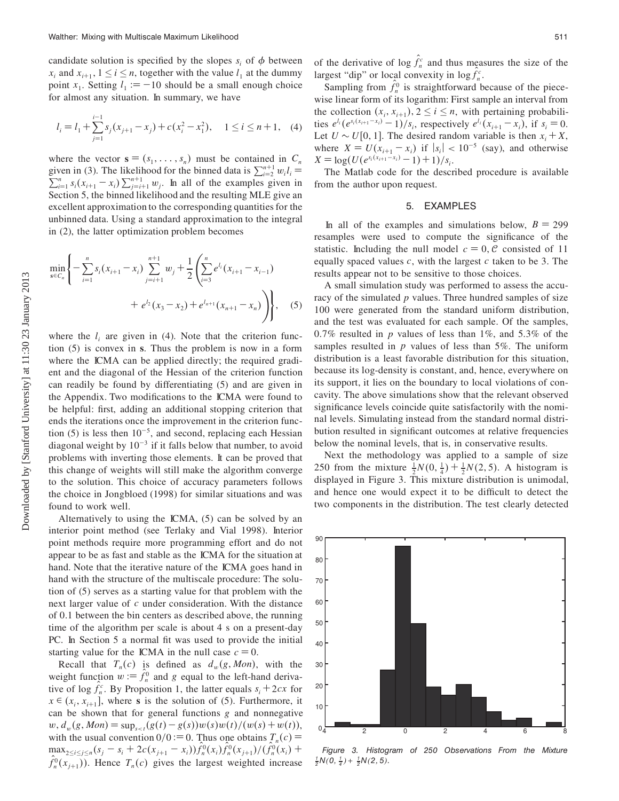candidate solution is specified by the slopes  $s_i$  of  $\phi$  between *x<sub>i</sub>* and  $x_{i+1}$ ,  $1 \le i \le n$ , together with the value  $l_1$  at the dummy point  $x_1$ . Setting  $l_1 := -10$  should be a small enough choice for almost any situation. In summary, we have

$$
l_i = l_1 + \sum_{j=1}^{i-1} s_j (x_{j+1} - x_j) + c (x_i^2 - x_1^2), \quad 1 \le i \le n+1, \quad (4)
$$

where the vector  $\mathbf{s} = (s_1, \ldots, s_n)$  must be contained in  $C_n$ given in (3). The likelihood for the binned data is  $\sum_{i=2}^{n+1} w_i l_i = \sum_{i=1}^{n} s_i (x_{i+1} - x_i) \sum_{j=i+1}^{n+1} w_j$ . In all of the examples given in Section 5, the binned likelihood and the resulting MLE give an excellent approximation to the corresponding quantities for the unbinned data. Using a standard approximation to the integral in (2), the latter optimization problem becomes

$$
\min_{s \in C_n} \left\{ -\sum_{i=1}^n s_i (x_{i+1} - x_i) \sum_{j=i+1}^{n+1} w_j + \frac{1}{2} \left( \sum_{i=3}^n e^{l_i} (x_{i+1} - x_{i-1}) + e^{l_2} (x_3 - x_2) + e^{l_{n+1}} (x_{n+1} - x_n) \right) \right\},
$$
(5)

where the  $l_i$  are given in (4). Note that the criterion function (5) is convex in **s**. Thus the problem is now in a form where the ICMA can be applied directly; the required gradient and the diagonal of the Hessian of the criterion function can readily be found by differentiating (5) and are given in the Appendix. Two modifications to the ICMA were found to be helpful: first, adding an additional stopping criterion that ends the iterations once the improvement in the criterion function (5) is less then  $10^{-5}$ , and second, replacing each Hessian diagonal weight by  $10^{-3}$  if it falls below that number, to avoid problems with inverting those elements. It can be proved that this change of weights will still make the algorithm converge to the solution. This choice of accuracy parameters follows the choice in Jongbloed (1998) for similar situations and was found to work well.

Alternatively to using the ICMA, (5) can be solved by an interior point method (see Terlaky and Vial 1998). Interior point methods require more programming effort and do not appear to be as fast and stable as the ICMA for the situation at hand. Note that the iterative nature of the ICMA goes hand in hand with the structure of the multiscale procedure: The solution of (5) serves as a starting value for that problem with the next larger value of *c* under consideration. With the distance of 0*0*1 between the bin centers as described above, the running time of the algorithm per scale is about 4 s on a present-day PC. In Section 5 a normal fit was used to provide the initial starting value for the ICMA in the null case  $c = 0$ .

Recall that  $T_n(c)$  is defined as  $d_m(g, Mon)$ , with the weight function  $w := f_n^0$  and *g* equal to the left-hand derivative of  $\log f_n^c$ . By Proposition 1, the latter equals  $s_i + 2cx$  for  $x \in (x_i, x_{i+1}]$ , where **s** is the solution of (5). Furthermore, it can be shown that for general functions *g* and nonnegative  $w, d_w(g, Mon) = \sup_{s \le t}(g(t) - g(s))w(s)w(t)/(w(s) + w(t)),$ with the usual convention  $0/0 := 0$ . Thus one obtains  $T_n(c) =$  $\max_{2 \le i \le j \le n} (s_j - s_i + 2c(x_{j+1} - x_i)) f_n^0(x_i) f_n^0(x_{j+1}) / (f_n^0(x_i) +$  $f_n^0(x_{j+1})$ ). Hence  $T_n(c)$  gives the largest weighted increase

of the derivative of  $\log f_n^c$  and thus measures the size of the largest "dip" or local convexity in  $\log f_n^c$ .

Sampling from  $f_n^0$  is straightforward because of the piecewise linear form of its logarithm: First sample an interval from the collection  $(x_i, x_{i+1}), 2 \le i \le n$ , with pertaining probabilities  $e^{l_i}(e^{s_i(x_{i+1}-x_i)}-1)/s_i$ , respectively  $e^{l_i}(x_{i+1}-x_i)$ , if  $s_i=0$ . Let  $U \sim U[0, 1]$ . The desired random variable is then  $x_i + X$ , where  $X = U(x_{i+1} - x_i)$  if  $|s_i| < 10^{-5}$  (say), and otherwise  $X = \log(U(e^{s_i(x_{i+1}-x_i)}-1)+1)/s_i$ .

The Matlab code for the described procedure is available from the author upon request.

## 5. EXAMPLES

In all of the examples and simulations below,  $B = 299$ resamples were used to compute the signicance of the statistic. Including the null model  $c = 0$ ,  $C$  consisted of 11 equally spaced values *c*, with the largest *c* taken to be 3. The results appear not to be sensitive to those choices.

A small simulation study was performed to assess the accuracy of the simulated *p* values. Three hundred samples of size 100 were generated from the standard uniform distribution, and the test was evaluated for each sample. Of the samples, 0.7% resulted in  $p$  values of less than 1%, and 5.3% of the samples resulted in *p* values of less than 5%. The uniform distribution is a least favorable distribution for this situation, because its log-density is constant, and, hence, everywhere on its support, it lies on the boundary to local violations of concavity. The above simulations show that the relevant observed significance levels coincide quite satisfactorily with the nominal levels. Simulating instead from the standard normal distribution resulted in significant outcomes at relative frequencies below the nominal levels, that is, in conservative results.

Next the methodology was applied to a sample of size 250 from the mixture  $\frac{1}{2}N(0, \frac{1}{4}) + \frac{1}{2}N(2, 5)$ . A histogram is displayed in Figure 3. This mixture distribution is unimodal, and hence one would expect it to be difficult to detect the two components in the distribution. The test clearly detected



 $\frac{1}{2}N(0, \frac{1}{4}) + \frac{1}{2}N(2, 5)$ *.*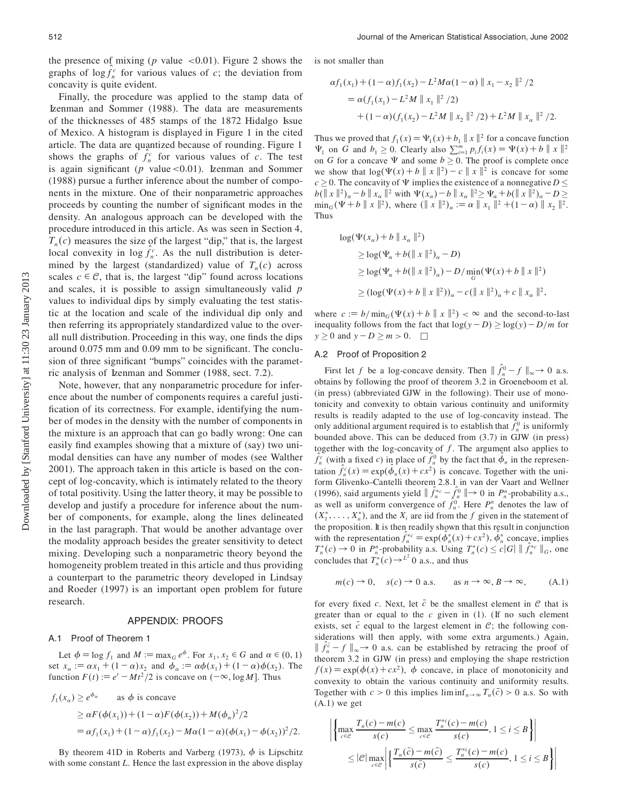the presence of mixing (*p* value *<*0*0*01). Figure 2 shows the graphs of  $\log f_n^c$  for various values of *c*; the deviation from concavity is quite evident.

Finally, the procedure was applied to the stamp data of Izenman and Sommer (1988). The data are measurements of the thicknesses of 485 stamps of the 1872 Hidalgo Issue of Mexico. A histogram is displayed in Figure 1 in the cited article. The data are quantized because of rounding. Figure 1 shows the graphs of  $f_n^c$  for various values of *c*. The test is again signicant (*p* value*<*0*0*01). Izenman and Sommer (1988) pursue a further inference about the number of components in the mixture. One of their nonparametric approaches proceeds by counting the number of signicant modes in the density. An analogous approach can be developed with the procedure introduced in this article. As was seen in Section 4,  $T_n(c)$  measures the size of the largest "dip," that is, the largest local convexity in  $\log f_n^c$ . As the null distribution is determined by the largest (standardized) value of  $T_n(c)$  across scales  $c \in \mathcal{C}$ , that is, the largest "dip" found across locations and scales, it is possible to assign simultaneously valid *p* values to individual dips by simply evaluating the test statistic at the location and scale of the individual dip only and then referring its appropriately standardized value to the overall null distribution. Proceeding in this way, one finds the dips around 0.075 mm and 0.09 mm to be significant. The conclusion of three significant "bumps" coincides with the parametric analysis of Izenman and Sommer (1988, sect. 7.2).

Note, however, that any nonparametric procedure for inference about the number of components requires a careful justi fication of its correctness. For example, identifying the number of modes in the density with the number of components in the mixture is an approach that can go badly wrong: One can easily find examples showing that a mixture of (say) two unimodal densities can have any number of modes (see Walther 2001). The approach taken in this article is based on the concept of log-concavity, which is intimately related to the theory of total positivity. Using the latter theory, it may be possible to develop and justify a procedure for inference about the number of components, for example, along the lines delineated in the last paragraph. That would be another advantage over the modality approach besides the greater sensitivity to detect mixing. Developing such a nonparametric theory beyond the homogeneity problem treated in this article and thus providing a counterpart to the parametric theory developed in Lindsay and Roeder (1997) is an important open problem for future research.

#### APPENDIX: PROOFS

## A.1 Proof of Theorem 1

Let  $\phi = \log f_1$  and  $M := \max_G e^{\phi}$ . For  $x_1, x_2 \in G$  and  $\alpha \in (0, 1)$ set  $x_{\alpha} := \alpha x_1 + (1 - \alpha)x_2$  and  $\phi_{\alpha} := \alpha \phi(x_1) + (1 - \alpha)\phi(x_2)$ . The function  $F(t) := e^t - Mt^2/2$  is concave on  $(-\infty, \log M]$ . Thus

$$
f_1(x_\alpha) \ge e^{\phi_\alpha} \quad \text{as } \phi \text{ is concave}
$$
  
 
$$
\ge \alpha F(\phi(x_1)) + (1 - \alpha)F(\phi(x_2)) + M(\phi_\alpha)^2/2
$$
  
 
$$
= \alpha f_1(x_1) + (1 - \alpha)f_1(x_2) - M\alpha(1 - \alpha)(\phi(x_1) - \phi(x_2))^2/2.
$$

By theorem 41D in Roberts and Varberg (1973),  $\phi$  is Lipschitz with some constant *L*. Hence the last expression in the above display is not smaller than

$$
\alpha f_1(x_1) + (1 - \alpha) f_1(x_2) - L^2 M \alpha (1 - \alpha) \| x_1 - x_2 \|^2 / 2
$$
  
=  $\alpha (f_1(x_1) - L^2 M \| x_1 \|^2 / 2)$   
+  $(1 - \alpha) (f_1(x_2) - L^2 M \| x_2 \|^2 / 2) + L^2 M \| x_\alpha \|^2 / 2.$ 

Thus we proved that  $f_1(x) = \Psi_1(x) + b_1 ||x||^2$  for a concave function  $\Psi_1$  on *G* and  $b_1 \ge 0$ . Clearly also  $\sum_{i=1}^m p_i f_i(x) = \Psi(x) + b ||x||^2$ on *G* for a concave  $\Psi$  and some  $b \ge 0$ . The proof is complete once we show that  $\log(\Psi(x)+b \| x \|^{2}) - c \| x \|^{2}$  is concave for some *c*  $\geq$  0. The concavity of  $\Psi$  implies the existence of a nonnegative *D*  $\leq$  $b(\|x\|^2)_\alpha - b \|x_\alpha\|^2$  with  $\Psi(x_\alpha) - b \|x_\alpha\|^2 \ge \Psi_\alpha + b(\|x\|^2)_\alpha - D \ge$  $\min_G(\Psi + b \parallel x \parallel^2)$ , where  $(\parallel x \parallel^2)_\alpha := \alpha \parallel x_1 \parallel^2 + (1 - \alpha) \parallel x_2 \parallel^2$ . Thus

$$
\log(\Psi(x_{\alpha}) + b \| x_{\alpha} \|^{2})
$$
  
\n
$$
\geq \log(\Psi_{\alpha} + b(\| x \|^{2})_{\alpha} - D)
$$
  
\n
$$
\geq \log(\Psi_{\alpha} + b(\| x \|^{2})_{\alpha}) - D/\min_{G}(\Psi(x) + b \| x \|^{2})
$$
  
\n
$$
\geq (\log(\Psi(x) + b \| x \|^{2}))_{\alpha} - c(\| x \|^{2})_{\alpha} + c \| x_{\alpha} \|^{2},
$$

where  $c := b/\min_{G}(\Psi(x) + b \| x \|^{2}) < \infty$  and the second-to-last inequality follows from the fact that  $log(y - D) \ge log(y) - D/m$  for  $y \ge 0$  and  $y - D \ge m > 0$ .  $\Box$ 

#### A.2 Proof of Proposition 2

First let *f* be a log-concave density. Then  $|| f_n^0 - f ||_{\infty} \to 0$  a.s. obtains by following the proof of theorem 3.2 in Groeneboom et al. (in press) (abbreviated GJW in the following). Their use of monotonicity and convexity to obtain various continuity and uniformity results is readily adapted to the use of log-concavity instead. The only additional argument required is to establish that  $f_n^0$  is uniformly bounded above. This can be deduced from (3.7) in GJW (in press) together with the log-concavity of *f* . The argument also applies to  $\hat{f}_n^c$  (with a fixed *c*) in place of  $\hat{f}_n^0$  by the fact that  $\phi_n$  in the representation  $\hat{f}_n^c(x) = \exp(\phi_n(x) + cx^2)$  is concave. Together with the uniform Glivenko–Cantelli theorem 2.8.1 in van der Vaart and Wellner (1996), said arguments yield  $|| f_n^{*c} - f_n^0 || \to 0$  in  $P_n^n$ -probability a.s., as well as uniform convergence of  $f_n^0$ . Here  $P_n^n$  denotes the law of  $(X_1^*, \ldots, X_n^*)$ , and the  $X_i$  are iid from the *f* given in the statement of the proposition. It is then readily shown that this result in conjunction with the representation  $f_n^{*c} = \exp(\phi_n^*(x) + cx^2)$ ,  $\phi_n^*$  concave, implies  $T_n^*(c) \to 0$  in  $P_n^n$ -probability a.s. Using  $T_n^*(c) \leq c|G| \parallel f_n^{*c} \parallel_G$ , one concludes that  $T_n^*(c) \rightarrow^{L^2} 0$  a.s., and thus

$$
m(c) \to 0
$$
,  $s(c) \to 0$  a.s. as  $n \to \infty$ ,  $B \to \infty$ , (A.1)

for every fixed *c*. Next, let  $\bar{c}$  be the smallest element in  $\mathcal C$  that is greater than or equal to the  $c$  given in  $(1)$ . (If no such element exists, set  $\bar{c}$  equal to the largest element in  $\mathcal{C}$ ; the following considerations will then apply, with some extra arguments.) Again,  $\int_{0}^{\overline{c}} f \, dx \to 0$  a.s. can be established by retracing the proof of theorem 3.2 in GJW (in press) and employing the shape restriction  $f(x) = \exp(\phi(x) + cx^2)$ ,  $\phi$  concave, in place of monotonicity and convexity to obtain the various continuity and uniformity results. Together with  $c > 0$  this implies  $\liminf_{n \to \infty} T_n(\bar{c}) > 0$  a.s. So with  $(A.1)$  we get

$$
\left| \left\{ \max_{c \in \mathcal{C}} \frac{T_n(c) - m(c)}{s(c)} \le \max_{c \in \mathcal{C}} \frac{T_n^{*i}(c) - m(c)}{s(c)}, 1 \le i \le B \right\} \right|
$$
  

$$
\le |\mathcal{C}| \max_{c \in \mathcal{C}} \left| \left\{ \frac{T_n(\bar{c}) - m(\bar{c})}{s(\bar{c})} \le \frac{T_n^{*i}(c) - m(c)}{s(c)}, 1 \le i \le B \right\} \right|
$$